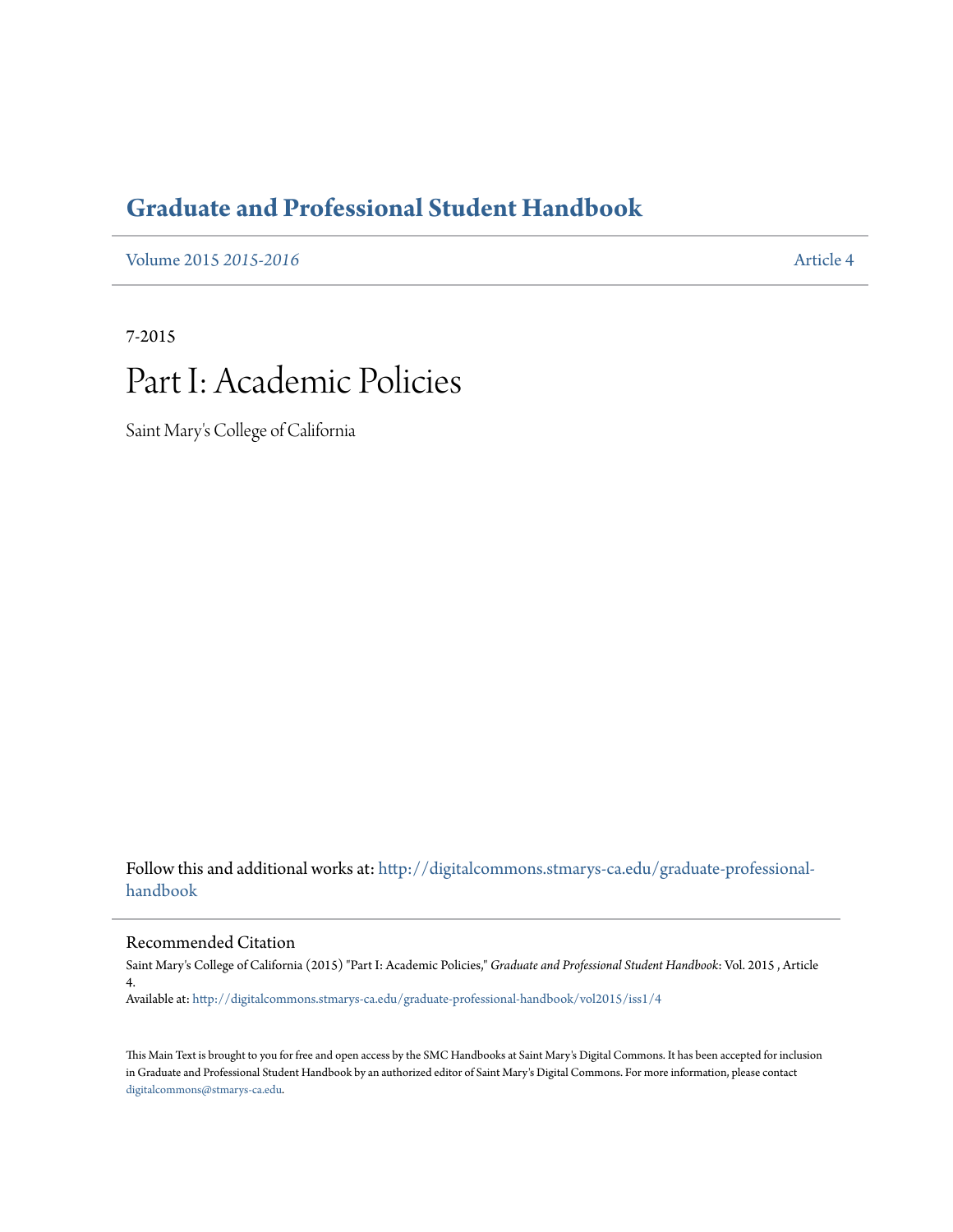## **[Graduate and Professional Student Handbook](http://digitalcommons.stmarys-ca.edu/graduate-professional-handbook?utm_source=digitalcommons.stmarys-ca.edu%2Fgraduate-professional-handbook%2Fvol2015%2Fiss1%2F4&utm_medium=PDF&utm_campaign=PDFCoverPages)**

[Volume 2015](http://digitalcommons.stmarys-ca.edu/graduate-professional-handbook/vol2015?utm_source=digitalcommons.stmarys-ca.edu%2Fgraduate-professional-handbook%2Fvol2015%2Fiss1%2F4&utm_medium=PDF&utm_campaign=PDFCoverPages) *2015-2016* [Article 4](http://digitalcommons.stmarys-ca.edu/graduate-professional-handbook/vol2015/iss1/4?utm_source=digitalcommons.stmarys-ca.edu%2Fgraduate-professional-handbook%2Fvol2015%2Fiss1%2F4&utm_medium=PDF&utm_campaign=PDFCoverPages)

7-2015

# Part I: Academic Policies

Saint Mary's College of California

Follow this and additional works at: [http://digitalcommons.stmarys-ca.edu/graduate-professional](http://digitalcommons.stmarys-ca.edu/graduate-professional-handbook?utm_source=digitalcommons.stmarys-ca.edu%2Fgraduate-professional-handbook%2Fvol2015%2Fiss1%2F4&utm_medium=PDF&utm_campaign=PDFCoverPages)[handbook](http://digitalcommons.stmarys-ca.edu/graduate-professional-handbook?utm_source=digitalcommons.stmarys-ca.edu%2Fgraduate-professional-handbook%2Fvol2015%2Fiss1%2F4&utm_medium=PDF&utm_campaign=PDFCoverPages)

Recommended Citation

Saint Mary's College of California (2015) "Part I: Academic Policies," *Graduate and Professional Student Handbook*: Vol. 2015 , Article 4.

Available at: [http://digitalcommons.stmarys-ca.edu/graduate-professional-handbook/vol2015/iss1/4](http://digitalcommons.stmarys-ca.edu/graduate-professional-handbook/vol2015/iss1/4?utm_source=digitalcommons.stmarys-ca.edu%2Fgraduate-professional-handbook%2Fvol2015%2Fiss1%2F4&utm_medium=PDF&utm_campaign=PDFCoverPages)

This Main Text is brought to you for free and open access by the SMC Handbooks at Saint Mary's Digital Commons. It has been accepted for inclusion in Graduate and Professional Student Handbook by an authorized editor of Saint Mary's Digital Commons. For more information, please contact [digitalcommons@stmarys-ca.edu](mailto:digitalcommons@stmarys-ca.edu).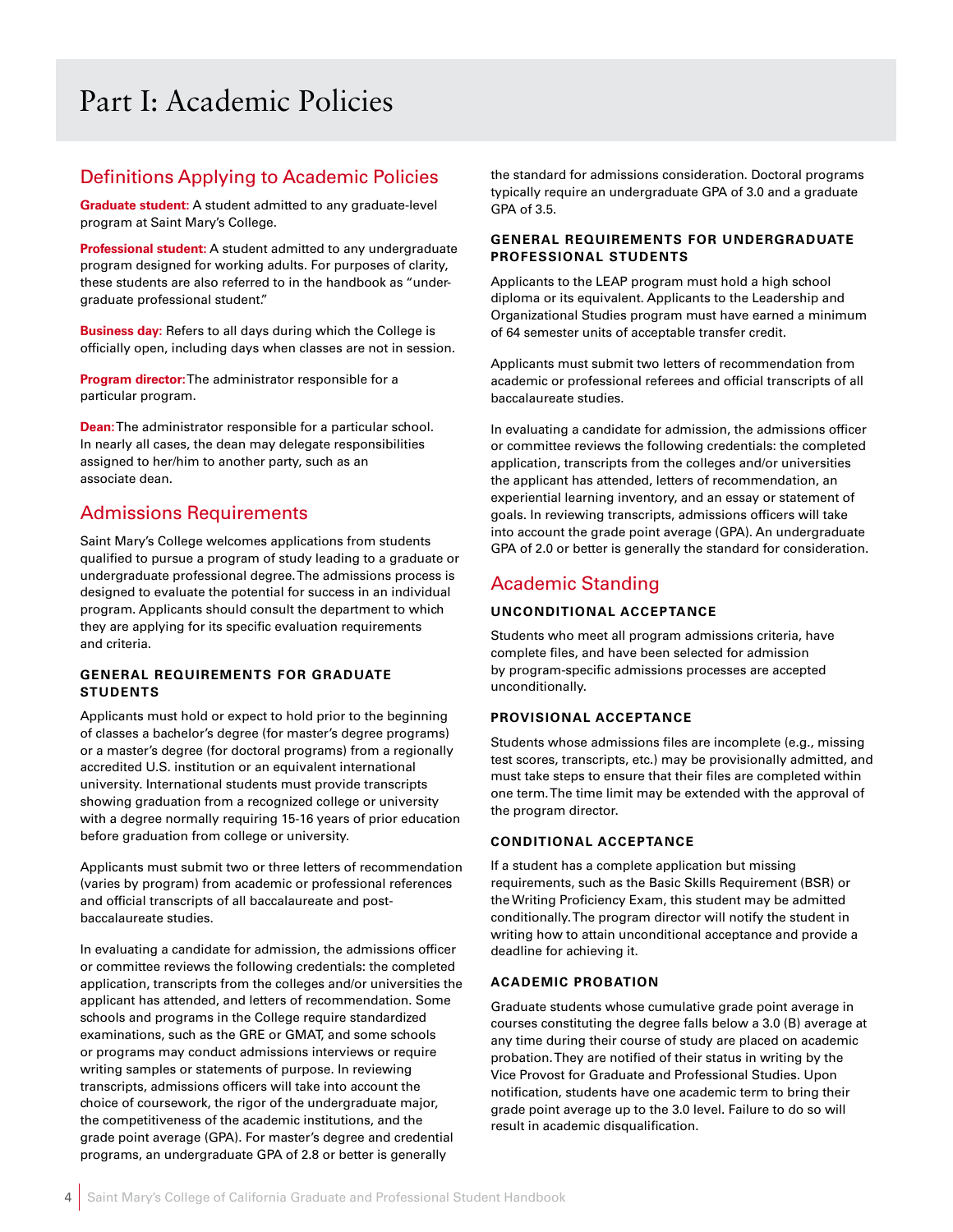## Part I: Academic Policies

### Definitions Applying to Academic Policies

**Graduate student:** A student admitted to any graduate-level program at Saint Mary's College.

**Professional student:** A student admitted to any undergraduate program designed for working adults. For purposes of clarity, these students are also referred to in the handbook as "undergraduate professional student."

**Business day:** Refers to all days during which the College is officially open, including days when classes are not in session.

**Program director:** The administrator responsible for a particular program.

**Dean:** The administrator responsible for a particular school. In nearly all cases, the dean may delegate responsibilities assigned to her/him to another party, such as an associate dean.

### Admissions Requirements

Saint Mary's College welcomes applications from students qualified to pursue a program of study leading to a graduate or undergraduate professional degree. The admissions process is designed to evaluate the potential for success in an individual program. Applicants should consult the department to which they are applying for its specific evaluation requirements and criteria.

#### **GENERAL REQUIREMENTS FOR GRADUATE STUDENTS**

Applicants must hold or expect to hold prior to the beginning of classes a bachelor's degree (for master's degree programs) or a master's degree (for doctoral programs) from a regionally accredited U.S. institution or an equivalent international university. International students must provide transcripts showing graduation from a recognized college or university with a degree normally requiring 15-16 years of prior education before graduation from college or university.

Applicants must submit two or three letters of recommendation (varies by program) from academic or professional references and official transcripts of all baccalaureate and postbaccalaureate studies.

In evaluating a candidate for admission, the admissions officer or committee reviews the following credentials: the completed application, transcripts from the colleges and/or universities the applicant has attended, and letters of recommendation. Some schools and programs in the College require standardized examinations, such as the GRE or GMAT, and some schools or programs may conduct admissions interviews or require writing samples or statements of purpose. In reviewing transcripts, admissions officers will take into account the choice of coursework, the rigor of the undergraduate major, the competitiveness of the academic institutions, and the grade point average (GPA). For master's degree and credential programs, an undergraduate GPA of 2.8 or better is generally

the standard for admissions consideration. Doctoral programs typically require an undergraduate GPA of 3.0 and a graduate GPA of 3.5.

#### **GENERAL REQUIREMENTS FOR UNDERGRADUATE PROFESSIONAL STUDENTS**

Applicants to the LEAP program must hold a high school diploma or its equivalent. Applicants to the Leadership and Organizational Studies program must have earned a minimum of 64 semester units of acceptable transfer credit.

Applicants must submit two letters of recommendation from academic or professional referees and official transcripts of all baccalaureate studies.

In evaluating a candidate for admission, the admissions officer or committee reviews the following credentials: the completed application, transcripts from the colleges and/or universities the applicant has attended, letters of recommendation, an experiential learning inventory, and an essay or statement of goals. In reviewing transcripts, admissions officers will take into account the grade point average (GPA). An undergraduate GPA of 2.0 or better is generally the standard for consideration.

### Academic Standing

#### **UNCONDITIONAL ACCEPTANCE**

Students who meet all program admissions criteria, have complete files, and have been selected for admission by program-specific admissions processes are accepted unconditionally.

#### **PROVISIONAL ACCEPTANCE**

Students whose admissions files are incomplete (e.g., missing test scores, transcripts, etc.) may be provisionally admitted, and must take steps to ensure that their files are completed within one term. The time limit may be extended with the approval of the program director.

#### **CONDITIONAL ACCEPTANCE**

If a student has a complete application but missing requirements, such as the Basic Skills Requirement (BSR) or the Writing Proficiency Exam, this student may be admitted conditionally. The program director will notify the student in writing how to attain unconditional acceptance and provide a deadline for achieving it.

#### **ACADEMIC PROBATION**

Graduate students whose cumulative grade point average in courses constituting the degree falls below a 3.0 (B) average at any time during their course of study are placed on academic probation. They are notified of their status in writing by the Vice Provost for Graduate and Professional Studies. Upon notification, students have one academic term to bring their grade point average up to the 3.0 level. Failure to do so will result in academic disqualification.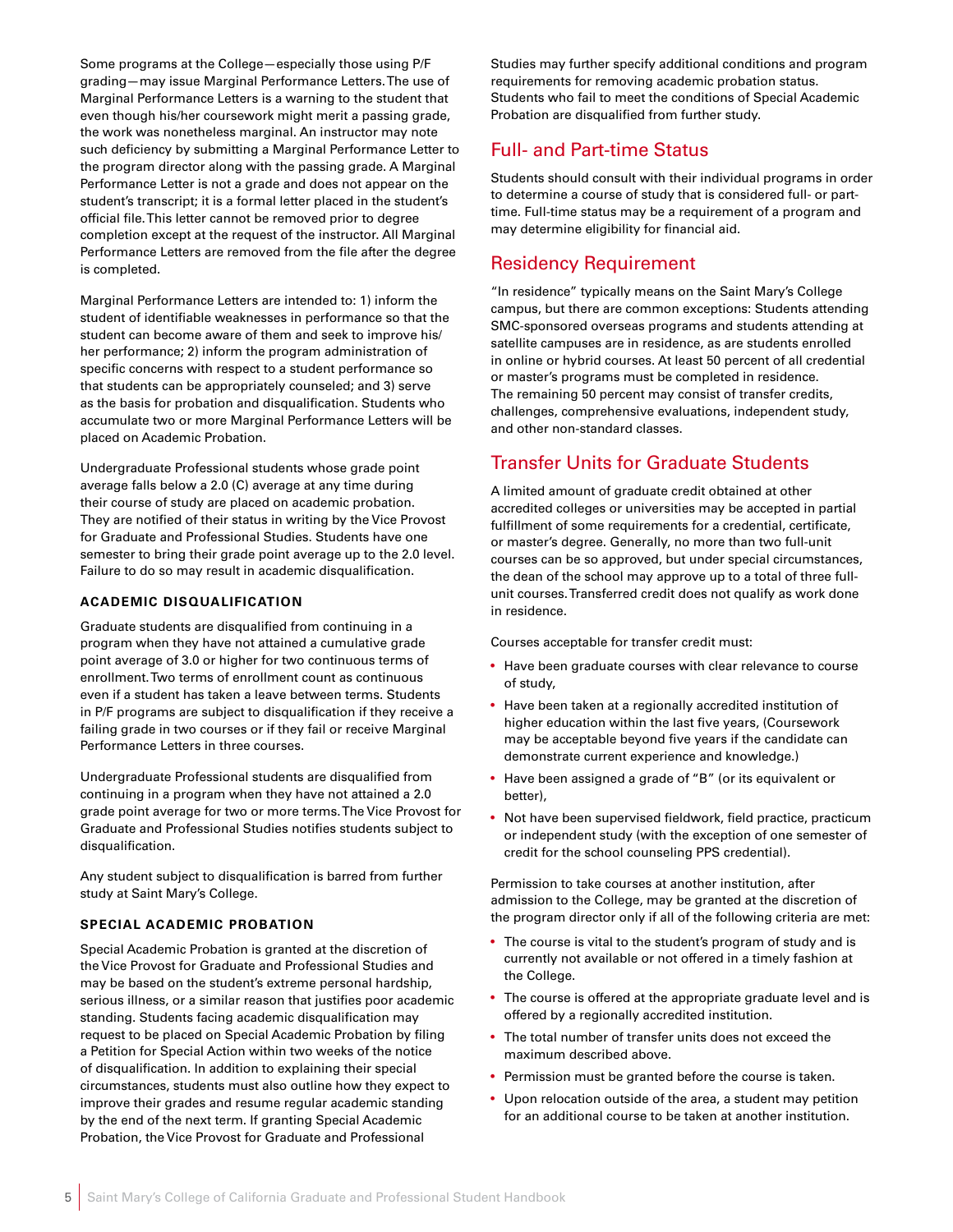Some programs at the College—especially those using P/F grading—may issue Marginal Performance Letters. The use of Marginal Performance Letters is a warning to the student that even though his/her coursework might merit a passing grade, the work was nonetheless marginal. An instructor may note such deficiency by submitting a Marginal Performance Letter to the program director along with the passing grade. A Marginal Performance Letter is not a grade and does not appear on the student's transcript; it is a formal letter placed in the student's official file. This letter cannot be removed prior to degree completion except at the request of the instructor. All Marginal Performance Letters are removed from the file after the degree is completed.

Marginal Performance Letters are intended to: 1) inform the student of identifiable weaknesses in performance so that the student can become aware of them and seek to improve his/ her performance; 2) inform the program administration of specific concerns with respect to a student performance so that students can be appropriately counseled; and 3) serve as the basis for probation and disqualification. Students who accumulate two or more Marginal Performance Letters will be placed on Academic Probation.

Undergraduate Professional students whose grade point average falls below a 2.0 (C) average at any time during their course of study are placed on academic probation. They are notified of their status in writing by the Vice Provost for Graduate and Professional Studies. Students have one semester to bring their grade point average up to the 2.0 level. Failure to do so may result in academic disqualification.

#### **ACADEMIC DISQUALIFICATION**

Graduate students are disqualified from continuing in a program when they have not attained a cumulative grade point average of 3.0 or higher for two continuous terms of enrollment. Two terms of enrollment count as continuous even if a student has taken a leave between terms. Students in P/F programs are subject to disqualification if they receive a failing grade in two courses or if they fail or receive Marginal Performance Letters in three courses.

Undergraduate Professional students are disqualified from continuing in a program when they have not attained a 2.0 grade point average for two or more terms. The Vice Provost for Graduate and Professional Studies notifies students subject to disqualification.

Any student subject to disqualification is barred from further study at Saint Mary's College.

#### **SPECIAL ACADEMIC PROBATION**

Special Academic Probation is granted at the discretion of the Vice Provost for Graduate and Professional Studies and may be based on the student's extreme personal hardship, serious illness, or a similar reason that justifies poor academic standing. Students facing academic disqualification may request to be placed on Special Academic Probation by filing a Petition for Special Action within two weeks of the notice of disqualification. In addition to explaining their special circumstances, students must also outline how they expect to improve their grades and resume regular academic standing by the end of the next term. If granting Special Academic Probation, the Vice Provost for Graduate and Professional

Studies may further specify additional conditions and program requirements for removing academic probation status. Students who fail to meet the conditions of Special Academic Probation are disqualified from further study.

### Full- and Part-time Status

Students should consult with their individual programs in order to determine a course of study that is considered full- or parttime. Full-time status may be a requirement of a program and may determine eligibility for financial aid.

### Residency Requirement

"In residence" typically means on the Saint Mary's College campus, but there are common exceptions: Students attending SMC-sponsored overseas programs and students attending at satellite campuses are in residence, as are students enrolled in online or hybrid courses. At least 50 percent of all credential or master's programs must be completed in residence. The remaining 50 percent may consist of transfer credits, challenges, comprehensive evaluations, independent study, and other non-standard classes.

### Transfer Units for Graduate Students

A limited amount of graduate credit obtained at other accredited colleges or universities may be accepted in partial fulfillment of some requirements for a credential, certificate, or master's degree. Generally, no more than two full-unit courses can be so approved, but under special circumstances, the dean of the school may approve up to a total of three fullunit courses. Transferred credit does not qualify as work done in residence.

Courses acceptable for transfer credit must:

- Have been graduate courses with clear relevance to course of study,
- Have been taken at a regionally accredited institution of higher education within the last five years, (Coursework may be acceptable beyond five years if the candidate can demonstrate current experience and knowledge.)
- Have been assigned a grade of "B" (or its equivalent or better),
- Not have been supervised fieldwork, field practice, practicum or independent study (with the exception of one semester of credit for the school counseling PPS credential).

Permission to take courses at another institution, after admission to the College, may be granted at the discretion of the program director only if all of the following criteria are met:

- The course is vital to the student's program of study and is currently not available or not offered in a timely fashion at the College.
- The course is offered at the appropriate graduate level and is offered by a regionally accredited institution.
- The total number of transfer units does not exceed the maximum described above.
- Permission must be granted before the course is taken.
- Upon relocation outside of the area, a student may petition for an additional course to be taken at another institution.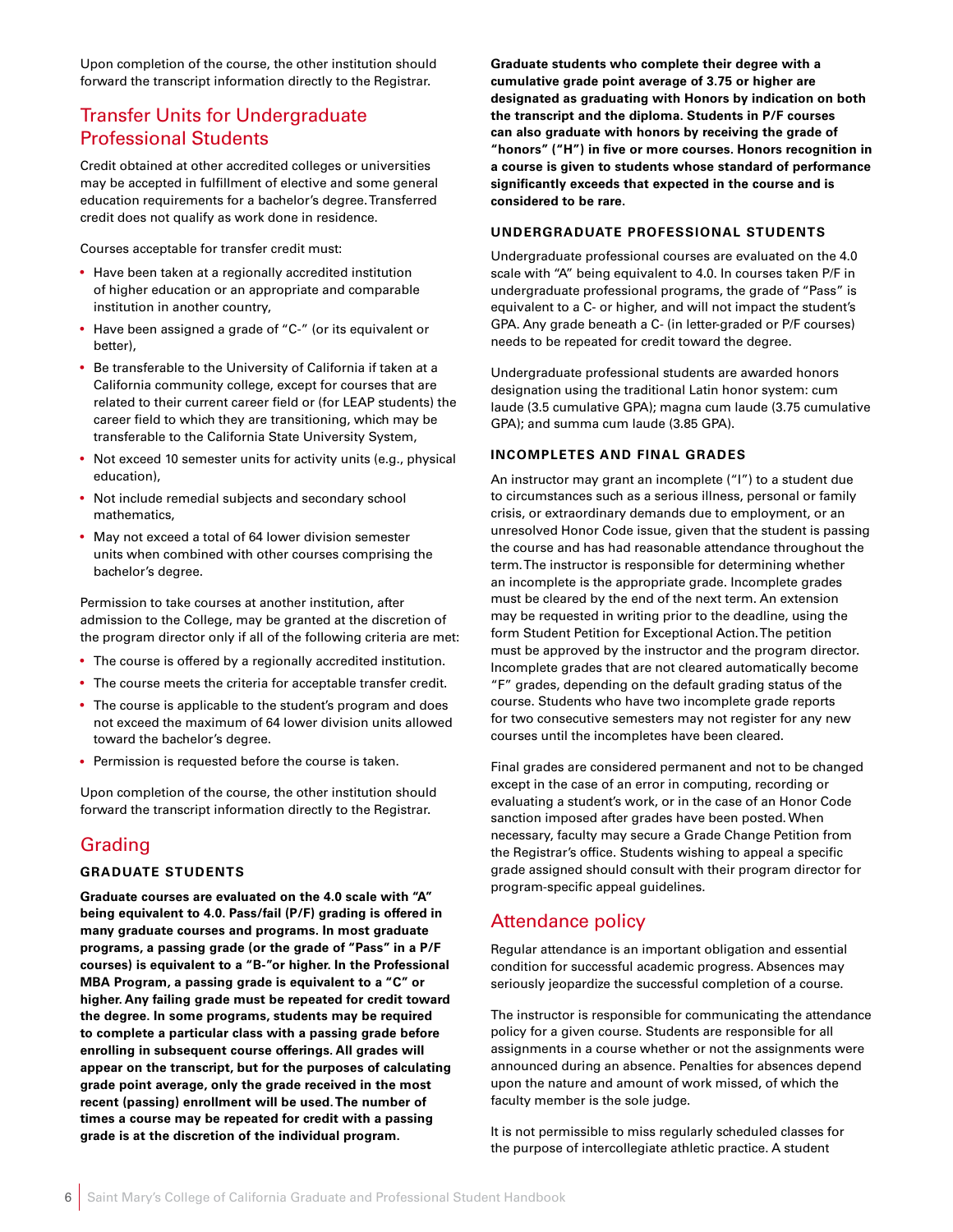Upon completion of the course, the other institution should forward the transcript information directly to the Registrar.

### Transfer Units for Undergraduate Professional Students

Credit obtained at other accredited colleges or universities may be accepted in fulfillment of elective and some general education requirements for a bachelor's degree. Transferred credit does not qualify as work done in residence.

Courses acceptable for transfer credit must:

- Have been taken at a regionally accredited institution of higher education or an appropriate and comparable institution in another country,
- Have been assigned a grade of "C-" (or its equivalent or better),
- Be transferable to the University of California if taken at a California community college, except for courses that are related to their current career field or (for LEAP students) the career field to which they are transitioning, which may be transferable to the California State University System,
- Not exceed 10 semester units for activity units (e.g., physical education),
- Not include remedial subjects and secondary school mathematics,
- May not exceed a total of 64 lower division semester units when combined with other courses comprising the bachelor's degree.

Permission to take courses at another institution, after admission to the College, may be granted at the discretion of the program director only if all of the following criteria are met:

- The course is offered by a regionally accredited institution.
- The course meets the criteria for acceptable transfer credit.
- The course is applicable to the student's program and does not exceed the maximum of 64 lower division units allowed toward the bachelor's degree.
- Permission is requested before the course is taken.

Upon completion of the course, the other institution should forward the transcript information directly to the Registrar.

### Grading

#### **GRADUATE STUDENTS**

**Graduate courses are evaluated on the 4.0 scale with "A" being equivalent to 4.0. Pass/fail (P/F) grading is offered in many graduate courses and programs. In most graduate programs, a passing grade (or the grade of "Pass" in a P/F courses) is equivalent to a "B-"or higher. In the Professional MBA Program, a passing grade is equivalent to a "C" or higher. Any failing grade must be repeated for credit toward the degree. In some programs, students may be required to complete a particular class with a passing grade before enrolling in subsequent course offerings. All grades will appear on the transcript, but for the purposes of calculating grade point average, only the grade received in the most recent (passing) enrollment will be used. The number of times a course may be repeated for credit with a passing grade is at the discretion of the individual program.** 

**Graduate students who complete their degree with a cumulative grade point average of 3.75 or higher are designated as graduating with Honors by indication on both the transcript and the diploma. Students in P/F courses can also graduate with honors by receiving the grade of "honors" ("H") in five or more courses. Honors recognition in a course is given to students whose standard of performance significantly exceeds that expected in the course and is considered to be rare.** 

#### **UNDERGRADUATE PROFESSIONAL STUDENTS**

Undergraduate professional courses are evaluated on the 4.0 scale with "A" being equivalent to 4.0. In courses taken P/F in undergraduate professional programs, the grade of "Pass" is equivalent to a C- or higher, and will not impact the student's GPA. Any grade beneath a C- (in letter-graded or P/F courses) needs to be repeated for credit toward the degree.

Undergraduate professional students are awarded honors designation using the traditional Latin honor system: cum laude (3.5 cumulative GPA); magna cum laude (3.75 cumulative GPA); and summa cum laude (3.85 GPA).

#### **INCOMPLETES AND FINAL GRADES**

An instructor may grant an incomplete ("I") to a student due to circumstances such as a serious illness, personal or family crisis, or extraordinary demands due to employment, or an unresolved Honor Code issue, given that the student is passing the course and has had reasonable attendance throughout the term. The instructor is responsible for determining whether an incomplete is the appropriate grade. Incomplete grades must be cleared by the end of the next term. An extension may be requested in writing prior to the deadline, using the form Student Petition for Exceptional Action. The petition must be approved by the instructor and the program director. Incomplete grades that are not cleared automatically become "F" grades, depending on the default grading status of the course. Students who have two incomplete grade reports for two consecutive semesters may not register for any new courses until the incompletes have been cleared.

Final grades are considered permanent and not to be changed except in the case of an error in computing, recording or evaluating a student's work, or in the case of an Honor Code sanction imposed after grades have been posted. When necessary, faculty may secure a Grade Change Petition from the Registrar's office. Students wishing to appeal a specific grade assigned should consult with their program director for program-specific appeal guidelines.

### Attendance policy

Regular attendance is an important obligation and essential condition for successful academic progress. Absences may seriously jeopardize the successful completion of a course.

The instructor is responsible for communicating the attendance policy for a given course. Students are responsible for all assignments in a course whether or not the assignments were announced during an absence. Penalties for absences depend upon the nature and amount of work missed, of which the faculty member is the sole judge.

It is not permissible to miss regularly scheduled classes for the purpose of intercollegiate athletic practice. A student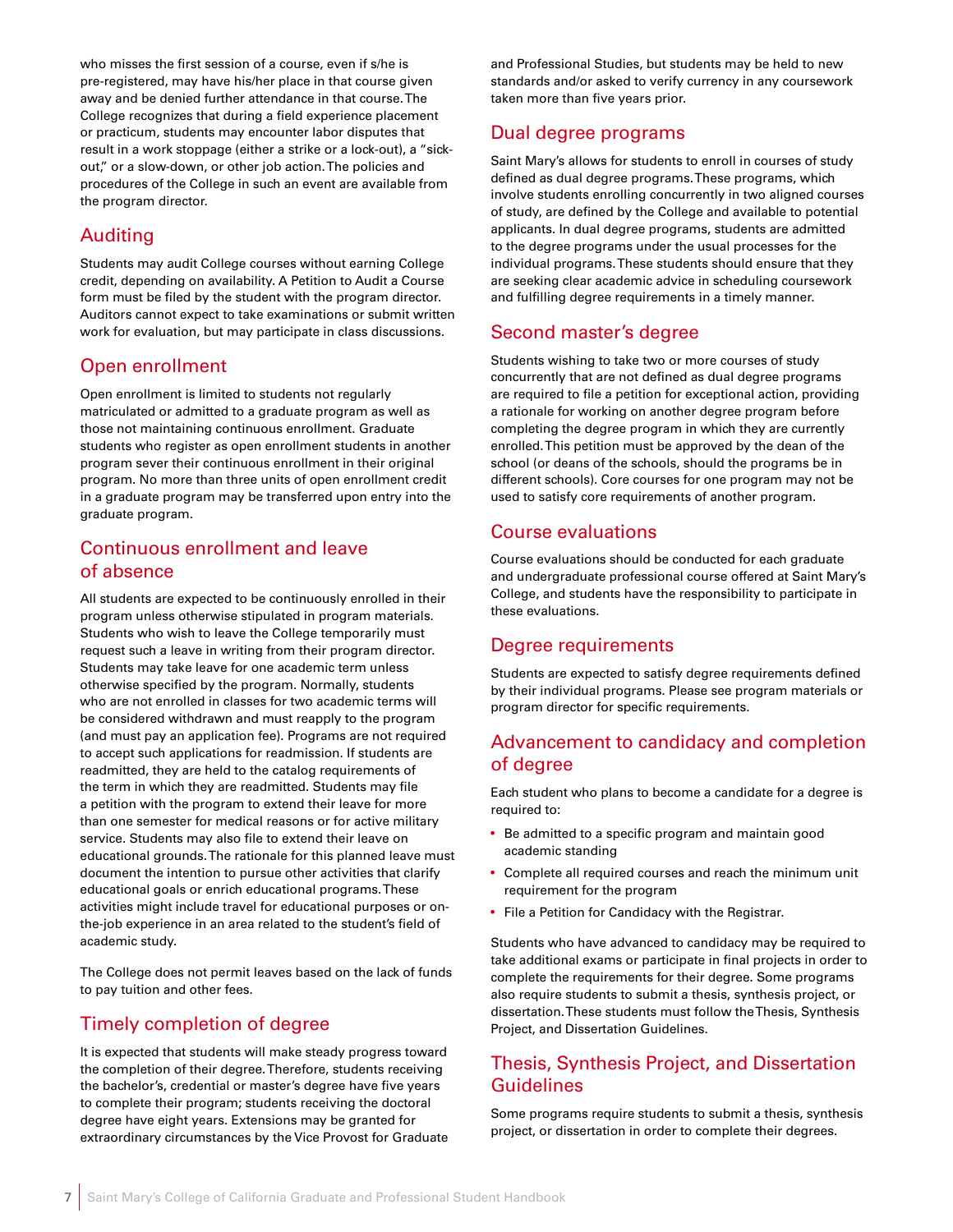who misses the first session of a course, even if s/he is pre-registered, may have his/her place in that course given away and be denied further attendance in that course. The College recognizes that during a field experience placement or practicum, students may encounter labor disputes that result in a work stoppage (either a strike or a lock-out), a "sickout," or a slow-down, or other job action. The policies and procedures of the College in such an event are available from the program director.

### Auditing

Students may audit College courses without earning College credit, depending on availability. A Petition to Audit a Course form must be filed by the student with the program director. Auditors cannot expect to take examinations or submit written work for evaluation, but may participate in class discussions.

### Open enrollment

Open enrollment is limited to students not regularly matriculated or admitted to a graduate program as well as those not maintaining continuous enrollment. Graduate students who register as open enrollment students in another program sever their continuous enrollment in their original program. No more than three units of open enrollment credit in a graduate program may be transferred upon entry into the graduate program.

### Continuous enrollment and leave of absence

All students are expected to be continuously enrolled in their program unless otherwise stipulated in program materials. Students who wish to leave the College temporarily must request such a leave in writing from their program director. Students may take leave for one academic term unless otherwise specified by the program. Normally, students who are not enrolled in classes for two academic terms will be considered withdrawn and must reapply to the program (and must pay an application fee). Programs are not required to accept such applications for readmission. If students are readmitted, they are held to the catalog requirements of the term in which they are readmitted. Students may file a petition with the program to extend their leave for more than one semester for medical reasons or for active military service. Students may also file to extend their leave on educational grounds. The rationale for this planned leave must document the intention to pursue other activities that clarify educational goals or enrich educational programs. These activities might include travel for educational purposes or onthe-job experience in an area related to the student's field of academic study.

The College does not permit leaves based on the lack of funds to pay tuition and other fees.

### Timely completion of degree

It is expected that students will make steady progress toward the completion of their degree. Therefore, students receiving the bachelor's, credential or master's degree have five years to complete their program; students receiving the doctoral degree have eight years. Extensions may be granted for extraordinary circumstances by the Vice Provost for Graduate

and Professional Studies, but students may be held to new standards and/or asked to verify currency in any coursework taken more than five years prior.

### Dual degree programs

Saint Mary's allows for students to enroll in courses of study defined as dual degree programs. These programs, which involve students enrolling concurrently in two aligned courses of study, are defined by the College and available to potential applicants. In dual degree programs, students are admitted to the degree programs under the usual processes for the individual programs. These students should ensure that they are seeking clear academic advice in scheduling coursework and fulfilling degree requirements in a timely manner.

### Second master's degree

Students wishing to take two or more courses of study concurrently that are not defined as dual degree programs are required to file a petition for exceptional action, providing a rationale for working on another degree program before completing the degree program in which they are currently enrolled. This petition must be approved by the dean of the school (or deans of the schools, should the programs be in different schools). Core courses for one program may not be used to satisfy core requirements of another program.

### Course evaluations

Course evaluations should be conducted for each graduate and undergraduate professional course offered at Saint Mary's College, and students have the responsibility to participate in these evaluations.

### Degree requirements

Students are expected to satisfy degree requirements defined by their individual programs. Please see program materials or program director for specific requirements.

### Advancement to candidacy and completion of degree

Each student who plans to become a candidate for a degree is required to:

- Be admitted to a specific program and maintain good academic standing
- Complete all required courses and reach the minimum unit requirement for the program
- File a Petition for Candidacy with the Registrar.

Students who have advanced to candidacy may be required to take additional exams or participate in final projects in order to complete the requirements for their degree. Some programs also require students to submit a thesis, synthesis project, or dissertation. These students must follow the Thesis, Synthesis Project, and Dissertation Guidelines.

### Thesis, Synthesis Project, and Dissertation Guidelines

Some programs require students to submit a thesis, synthesis project, or dissertation in order to complete their degrees.